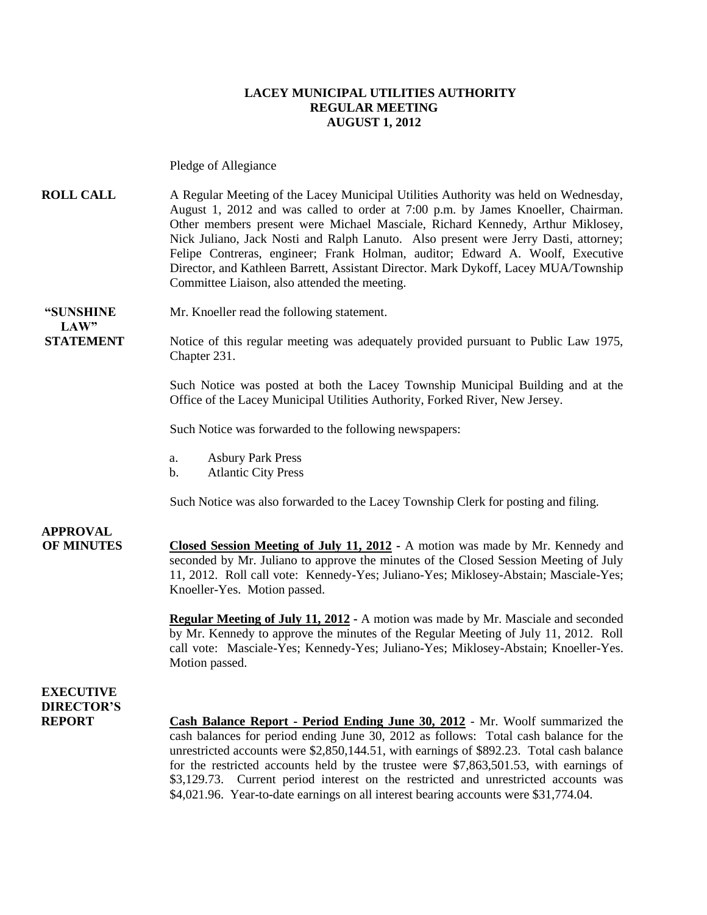#### **LACEY MUNICIPAL UTILITIES AUTHORITY REGULAR MEETING AUGUST 1, 2012**

Pledge of Allegiance

**ROLL CALL** A Regular Meeting of the Lacey Municipal Utilities Authority was held on Wednesday, August 1, 2012 and was called to order at 7:00 p.m. by James Knoeller, Chairman. Other members present were Michael Masciale, Richard Kennedy, Arthur Miklosey, Nick Juliano, Jack Nosti and Ralph Lanuto. Also present were Jerry Dasti, attorney; Felipe Contreras, engineer; Frank Holman, auditor; Edward A. Woolf, Executive Director, and Kathleen Barrett, Assistant Director. Mark Dykoff, Lacey MUA/Township Committee Liaison, also attended the meeting.

**"SUNSHINE** Mr. Knoeller read the following statement.

**STATEMENT** Notice of this regular meeting was adequately provided pursuant to Public Law 1975, Chapter 231.

> Such Notice was posted at both the Lacey Township Municipal Building and at the Office of the Lacey Municipal Utilities Authority, Forked River, New Jersey.

Such Notice was forwarded to the following newspapers:

- a. Asbury Park Press
- b. Atlantic City Press

Such Notice was also forwarded to the Lacey Township Clerk for posting and filing.

## **APPROVAL**

 $\mathbf{L} \mathbf{A} \mathbf{W}$ 

**OF MINUTES Closed Session Meeting of July 11, 2012 -** A motion was made by Mr. Kennedy and seconded by Mr. Juliano to approve the minutes of the Closed Session Meeting of July 11, 2012. Roll call vote: Kennedy-Yes; Juliano-Yes; Miklosey-Abstain; Masciale-Yes; Knoeller-Yes. Motion passed.

> **Regular Meeting of July 11, 2012 -** A motion was made by Mr. Masciale and seconded by Mr. Kennedy to approve the minutes of the Regular Meeting of July 11, 2012. Roll call vote: Masciale-Yes; Kennedy-Yes; Juliano-Yes; Miklosey-Abstain; Knoeller-Yes. Motion passed.

### **EXECUTIVE DIRECTOR'S**

**REPORT Cash Balance Report - Period Ending June 30, 2012** - Mr. Woolf summarized the cash balances for period ending June 30, 2012 as follows: Total cash balance for the unrestricted accounts were \$2,850,144.51, with earnings of \$892.23. Total cash balance for the restricted accounts held by the trustee were \$7,863,501.53, with earnings of \$3,129.73. Current period interest on the restricted and unrestricted accounts was \$4,021.96. Year-to-date earnings on all interest bearing accounts were \$31,774.04.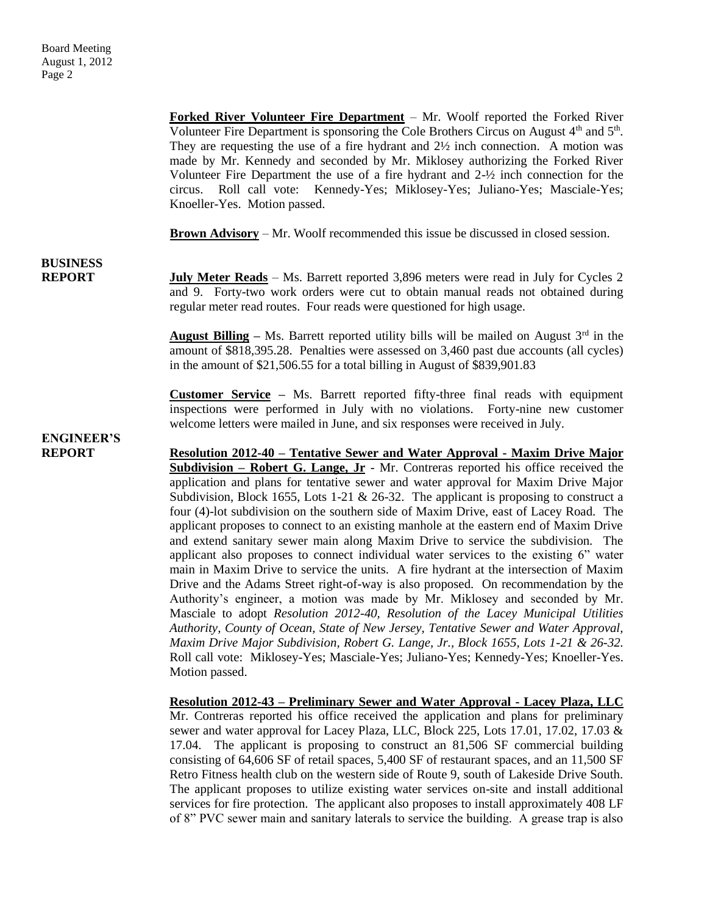**Forked River Volunteer Fire Department** – Mr. Woolf reported the Forked River Volunteer Fire Department is sponsoring the Cole Brothers Circus on August  $4<sup>th</sup>$  and  $5<sup>th</sup>$ . They are requesting the use of a fire hydrant and 2½ inch connection. A motion was made by Mr. Kennedy and seconded by Mr. Miklosey authorizing the Forked River Volunteer Fire Department the use of a fire hydrant and 2-½ inch connection for the circus. Roll call vote: Kennedy-Yes; Miklosey-Yes; Juliano-Yes; Masciale-Yes; Knoeller-Yes. Motion passed.

**Brown Advisory** – Mr. Woolf recommended this issue be discussed in closed session.

# **BUSINESS**

**REPORT** July Meter Reads – Ms. Barrett reported 3,896 meters were read in July for Cycles 2 and 9. Forty-two work orders were cut to obtain manual reads not obtained during regular meter read routes. Four reads were questioned for high usage.

> **August Billing** – Ms. Barrett reported utility bills will be mailed on August  $3^{rd}$  in the amount of \$818,395.28. Penalties were assessed on 3,460 past due accounts (all cycles) in the amount of \$21,506.55 for a total billing in August of \$839,901.83

> **Customer Service –** Ms. Barrett reported fifty-three final reads with equipment inspections were performed in July with no violations. Forty-nine new customer welcome letters were mailed in June, and six responses were received in July.

**ENGINEER'S**

**REPORT Resolution 2012-40 – Tentative Sewer and Water Approval - Maxim Drive Major Subdivision – Robert G. Lange, Jr** - Mr. Contreras reported his office received the application and plans for tentative sewer and water approval for Maxim Drive Major Subdivision, Block 1655, Lots 1-21  $\&$  26-32. The applicant is proposing to construct a four (4)-lot subdivision on the southern side of Maxim Drive, east of Lacey Road. The applicant proposes to connect to an existing manhole at the eastern end of Maxim Drive and extend sanitary sewer main along Maxim Drive to service the subdivision. The applicant also proposes to connect individual water services to the existing 6" water main in Maxim Drive to service the units. A fire hydrant at the intersection of Maxim Drive and the Adams Street right-of-way is also proposed. On recommendation by the Authority's engineer, a motion was made by Mr. Miklosey and seconded by Mr. Masciale to adopt *Resolution 2012-40, Resolution of the Lacey Municipal Utilities Authority, County of Ocean, State of New Jersey, Tentative Sewer and Water Approval, Maxim Drive Major Subdivision, Robert G. Lange, Jr., Block 1655, Lots 1-21 & 26-32.*  Roll call vote: Miklosey-Yes; Masciale-Yes; Juliano-Yes; Kennedy-Yes; Knoeller-Yes. Motion passed.

> **Resolution 2012-43 – Preliminary Sewer and Water Approval - Lacey Plaza, LLC** Mr. Contreras reported his office received the application and plans for preliminary sewer and water approval for Lacey Plaza, LLC, Block 225, Lots 17.01, 17.02, 17.03 & 17.04. The applicant is proposing to construct an 81,506 SF commercial building consisting of 64,606 SF of retail spaces, 5,400 SF of restaurant spaces, and an 11,500 SF Retro Fitness health club on the western side of Route 9, south of Lakeside Drive South. The applicant proposes to utilize existing water services on-site and install additional services for fire protection. The applicant also proposes to install approximately 408 LF of 8" PVC sewer main and sanitary laterals to service the building. A grease trap is also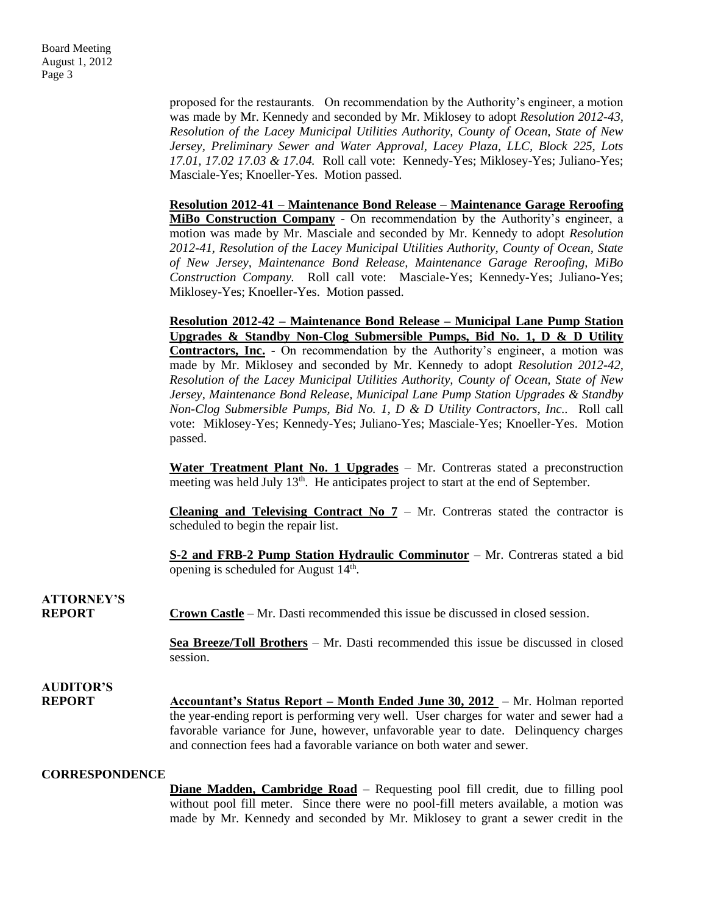proposed for the restaurants. On recommendation by the Authority's engineer, a motion was made by Mr. Kennedy and seconded by Mr. Miklosey to adopt *Resolution 2012-43, Resolution of the Lacey Municipal Utilities Authority, County of Ocean, State of New Jersey, Preliminary Sewer and Water Approval, Lacey Plaza, LLC, Block 225, Lots 17.01, 17.02 17.03 & 17.04.* Roll call vote: Kennedy-Yes; Miklosey-Yes; Juliano-Yes; Masciale-Yes; Knoeller-Yes. Motion passed.

**Resolution 2012-41 – Maintenance Bond Release – Maintenance Garage Reroofing MiBo Construction Company** - On recommendation by the Authority's engineer, a motion was made by Mr. Masciale and seconded by Mr. Kennedy to adopt *Resolution 2012-41, Resolution of the Lacey Municipal Utilities Authority, County of Ocean, State of New Jersey, Maintenance Bond Release, Maintenance Garage Reroofing, MiBo Construction Company.* Roll call vote: Masciale-Yes; Kennedy-Yes; Juliano-Yes; Miklosey-Yes; Knoeller-Yes. Motion passed.

**Resolution 2012-42 – Maintenance Bond Release – Municipal Lane Pump Station Upgrades & Standby Non-Clog Submersible Pumps, Bid No. 1, D & D Utility Contractors, Inc.** - On recommendation by the Authority's engineer, a motion was made by Mr. Miklosey and seconded by Mr. Kennedy to adopt *Resolution 2012-42, Resolution of the Lacey Municipal Utilities Authority, County of Ocean, State of New Jersey, Maintenance Bond Release, Municipal Lane Pump Station Upgrades & Standby Non-Clog Submersible Pumps, Bid No. 1, D & D Utility Contractors, Inc..* Roll call vote: Miklosey-Yes; Kennedy-Yes; Juliano-Yes; Masciale-Yes; Knoeller-Yes. Motion passed.

**Water Treatment Plant No. 1 Upgrades** – Mr. Contreras stated a preconstruction meeting was held July 13<sup>th</sup>. He anticipates project to start at the end of September.

**Cleaning and Televising Contract No 7** – Mr. Contreras stated the contractor is scheduled to begin the repair list.

**S-2 and FRB-2 Pump Station Hydraulic Comminutor** – Mr. Contreras stated a bid opening is scheduled for August  $14<sup>th</sup>$ .

**ATTORNEY'S**

**REPORT Crown Castle** – Mr. Dasti recommended this issue be discussed in closed session.

**Sea Breeze/Toll Brothers** – Mr. Dasti recommended this issue be discussed in closed session.

**AUDITOR'S REPORT Accountant's Status Report – Month Ended June 30, 2012** – Mr. Holman reported the year-ending report is performing very well. User charges for water and sewer had a favorable variance for June, however, unfavorable year to date. Delinquency charges and connection fees had a favorable variance on both water and sewer.

#### **CORRESPONDENCE**

**Diane Madden, Cambridge Road** – Requesting pool fill credit, due to filling pool without pool fill meter. Since there were no pool-fill meters available, a motion was made by Mr. Kennedy and seconded by Mr. Miklosey to grant a sewer credit in the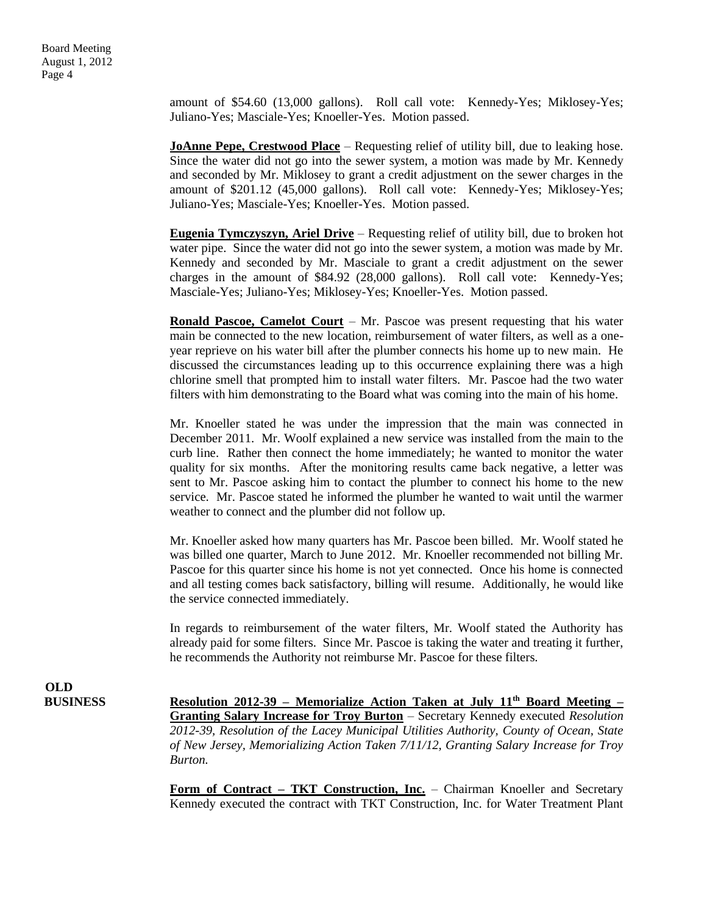amount of \$54.60 (13,000 gallons). Roll call vote: Kennedy-Yes; Miklosey-Yes; Juliano-Yes; Masciale-Yes; Knoeller-Yes. Motion passed.

**JoAnne Pepe, Crestwood Place** – Requesting relief of utility bill, due to leaking hose. Since the water did not go into the sewer system, a motion was made by Mr. Kennedy and seconded by Mr. Miklosey to grant a credit adjustment on the sewer charges in the amount of \$201.12 (45,000 gallons). Roll call vote: Kennedy-Yes; Miklosey-Yes; Juliano-Yes; Masciale-Yes; Knoeller-Yes. Motion passed.

**Eugenia Tymczyszyn, Ariel Drive** – Requesting relief of utility bill, due to broken hot water pipe. Since the water did not go into the sewer system, a motion was made by Mr. Kennedy and seconded by Mr. Masciale to grant a credit adjustment on the sewer charges in the amount of \$84.92 (28,000 gallons). Roll call vote: Kennedy-Yes; Masciale-Yes; Juliano-Yes; Miklosey-Yes; Knoeller-Yes. Motion passed.

**Ronald Pascoe, Camelot Court** – Mr. Pascoe was present requesting that his water main be connected to the new location, reimbursement of water filters, as well as a oneyear reprieve on his water bill after the plumber connects his home up to new main. He discussed the circumstances leading up to this occurrence explaining there was a high chlorine smell that prompted him to install water filters. Mr. Pascoe had the two water filters with him demonstrating to the Board what was coming into the main of his home.

Mr. Knoeller stated he was under the impression that the main was connected in December 2011. Mr. Woolf explained a new service was installed from the main to the curb line. Rather then connect the home immediately; he wanted to monitor the water quality for six months. After the monitoring results came back negative, a letter was sent to Mr. Pascoe asking him to contact the plumber to connect his home to the new service. Mr. Pascoe stated he informed the plumber he wanted to wait until the warmer weather to connect and the plumber did not follow up.

Mr. Knoeller asked how many quarters has Mr. Pascoe been billed. Mr. Woolf stated he was billed one quarter, March to June 2012. Mr. Knoeller recommended not billing Mr. Pascoe for this quarter since his home is not yet connected. Once his home is connected and all testing comes back satisfactory, billing will resume. Additionally, he would like the service connected immediately.

In regards to reimbursement of the water filters, Mr. Woolf stated the Authority has already paid for some filters. Since Mr. Pascoe is taking the water and treating it further, he recommends the Authority not reimburse Mr. Pascoe for these filters.

**OLD**

**BUSINESS Resolution 2012-39 – Memorialize Action Taken at July 11th Board Meeting – Granting Salary Increase for Troy Burton** – Secretary Kennedy executed *Resolution 2012-39, Resolution of the Lacey Municipal Utilities Authority, County of Ocean, State of New Jersey, Memorializing Action Taken 7/11/12, Granting Salary Increase for Troy Burton.* 

> **Form of Contract – TKT Construction, Inc.** – Chairman Knoeller and Secretary Kennedy executed the contract with TKT Construction, Inc. for Water Treatment Plant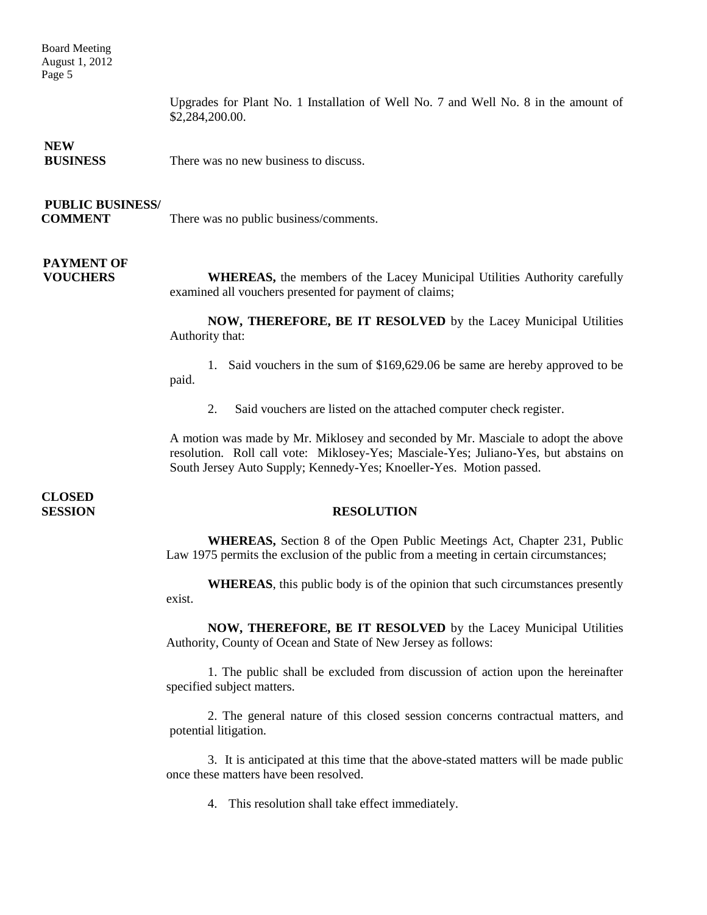Board Meeting August 1, 2012 Page 5

> Upgrades for Plant No. 1 Installation of Well No. 7 and Well No. 8 in the amount of \$2,284,200.00.

#### **NEW**

**BUSINESS** There was no new business to discuss.

#### **PUBLIC BUSINESS/**

**COMMENT** There was no public business/comments.

### **PAYMENT OF**

**VOUCHERS** WHEREAS, the members of the Lacey Municipal Utilities Authority carefully examined all vouchers presented for payment of claims;

> **NOW, THEREFORE, BE IT RESOLVED** by the Lacey Municipal Utilities Authority that:

> 1. Said vouchers in the sum of \$169,629.06 be same are hereby approved to be paid.

2. Said vouchers are listed on the attached computer check register.

A motion was made by Mr. Miklosey and seconded by Mr. Masciale to adopt the above resolution. Roll call vote: Miklosey-Yes; Masciale-Yes; Juliano-Yes, but abstains on South Jersey Auto Supply; Kennedy-Yes; Knoeller-Yes. Motion passed.

**CLOSED** 

#### **SESSION RESOLUTION**

**WHEREAS,** Section 8 of the Open Public Meetings Act, Chapter 231, Public Law 1975 permits the exclusion of the public from a meeting in certain circumstances;

**WHEREAS**, this public body is of the opinion that such circumstances presently exist.

**NOW, THEREFORE, BE IT RESOLVED** by the Lacey Municipal Utilities Authority, County of Ocean and State of New Jersey as follows:

1. The public shall be excluded from discussion of action upon the hereinafter specified subject matters.

2. The general nature of this closed session concerns contractual matters, and potential litigation.

3. It is anticipated at this time that the above-stated matters will be made public once these matters have been resolved.

4. This resolution shall take effect immediately.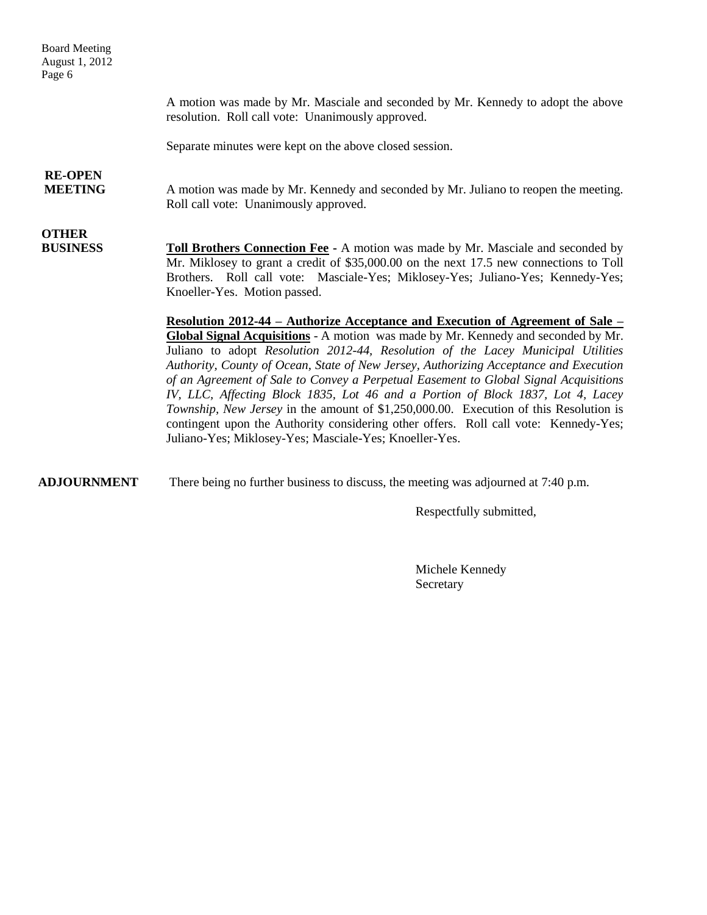Board Meeting August 1, 2012 Page 6

> A motion was made by Mr. Masciale and seconded by Mr. Kennedy to adopt the above resolution. Roll call vote: Unanimously approved.

Separate minutes were kept on the above closed session.

## **RE-OPEN**

**MEETING** A motion was made by Mr. Kennedy and seconded by Mr. Juliano to reopen the meeting. Roll call vote: Unanimously approved.

## **OTHER**

**BUSINESS Toll Brothers Connection Fee -** A motion was made by Mr. Masciale and seconded by Mr. Miklosey to grant a credit of \$35,000.00 on the next 17.5 new connections to Toll Brothers. Roll call vote: Masciale-Yes; Miklosey-Yes; Juliano-Yes; Kennedy-Yes; Knoeller-Yes. Motion passed.

> **Resolution 2012-44 – Authorize Acceptance and Execution of Agreement of Sale – Global Signal Acquisitions** - A motion was made by Mr. Kennedy and seconded by Mr. Juliano to adopt *Resolution 2012-44, Resolution of the Lacey Municipal Utilities Authority, County of Ocean, State of New Jersey, Authorizing Acceptance and Execution of an Agreement of Sale to Convey a Perpetual Easement to Global Signal Acquisitions IV, LLC, Affecting Block 1835, Lot 46 and a Portion of Block 1837, Lot 4, Lacey Township, New Jersey* in the amount of \$1,250,000.00. Execution of this Resolution is contingent upon the Authority considering other offers. Roll call vote: Kennedy-Yes; Juliano-Yes; Miklosey-Yes; Masciale-Yes; Knoeller-Yes.

**ADJOURNMENT** There being no further business to discuss, the meeting was adjourned at 7:40 p.m.

Respectfully submitted,

Michele Kennedy Secretary